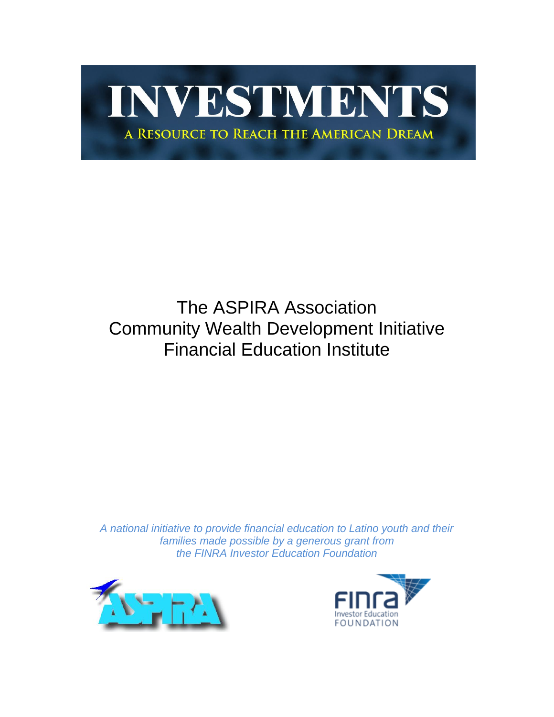# INVESTMENTS A RESOURCE TO REACH THE AMERICAN DREAM

### The ASPIRA Association Community Wealth Development Initiative Financial Education Institute

*A national initiative to provide financial education to Latino youth and their families made possible by a generous grant from the FINRA Investor Education Foundation*



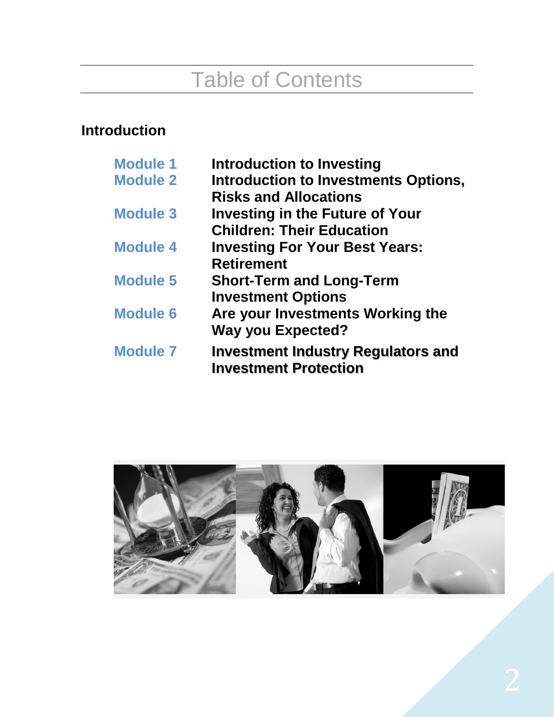## Table of Contents

### **Introduction**

| Introduction to Investing                                                 |
|---------------------------------------------------------------------------|
| <b>Introduction to Investments Options,</b>                               |
| <b>Risks and Allocations</b>                                              |
| <b>Investing in the Future of Your</b>                                    |
| <b>Children: Their Education</b>                                          |
| <b>Investing For Your Best Years:</b>                                     |
| <b>Retirement</b>                                                         |
| <b>Short-Term and Long-Term</b>                                           |
| <b>Investment Options</b>                                                 |
| Are your Investments Working the                                          |
| <b>Way you Expected?</b>                                                  |
| <b>Investment Industry Regulators and</b><br><b>Investment Protection</b> |
|                                                                           |

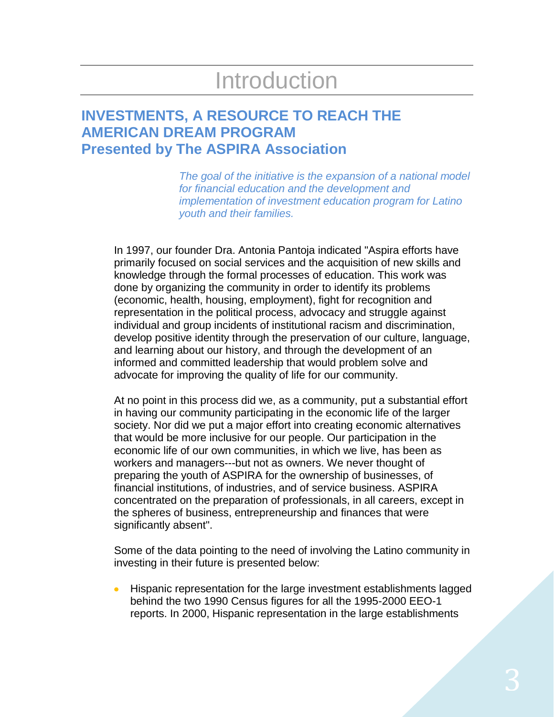## Introduction

### **INVESTMENTS, A RESOURCE TO REACH THE AMERICAN DREAM PROGRAM Presented by The ASPIRA Association**

*The goal of the initiative is the expansion of a national model for financial education and the development and implementation of investment education program for Latino youth and their families.*

In 1997, our founder Dra. Antonia Pantoja indicated "Aspira efforts have primarily focused on social services and the acquisition of new skills and knowledge through the formal processes of education. This work was done by organizing the community in order to identify its problems (economic, health, housing, employment), fight for recognition and representation in the political process, advocacy and struggle against individual and group incidents of institutional racism and discrimination, develop positive identity through the preservation of our culture, language, and learning about our history, and through the development of an informed and committed leadership that would problem solve and advocate for improving the quality of life for our community.

At no point in this process did we, as a community, put a substantial effort in having our community participating in the economic life of the larger society. Nor did we put a major effort into creating economic alternatives that would be more inclusive for our people. Our participation in the economic life of our own communities, in which we live, has been as workers and managers---but not as owners. We never thought of preparing the youth of ASPIRA for the ownership of businesses, of financial institutions, of industries, and of service business. ASPIRA concentrated on the preparation of professionals, in all careers, except in the spheres of business, entrepreneurship and finances that were significantly absent".

Some of the data pointing to the need of involving the Latino community in investing in their future is presented below:

Hispanic representation for the large investment establishments lagged  $\bullet$ behind the two 1990 Census figures for all the 1995-2000 EEO-1 reports. In 2000, Hispanic representation in the large establishments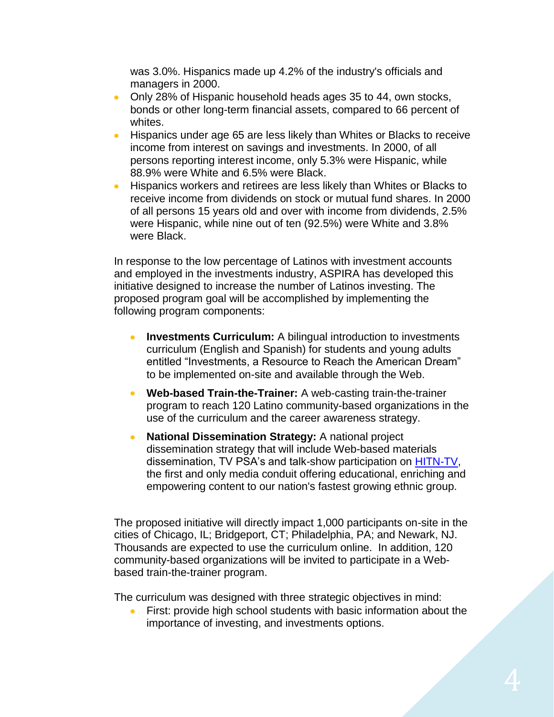was 3.0%. Hispanics made up 4.2% of the industry's officials and managers in 2000.

- Only 28% of Hispanic household heads ages 35 to 44, own stocks,  $\bullet$ bonds or other long-term financial assets, compared to 66 percent of whites.
- Hispanics under age 65 are less likely than Whites or Blacks to receive  $\bullet$ income from interest on savings and investments. In 2000, of all persons reporting interest income, only 5.3% were Hispanic, while 88.9% were White and 6.5% were Black.
- Hispanics workers and retirees are less likely than Whites or Blacks to  $\bullet$ receive income from dividends on stock or mutual fund shares. In 2000 of all persons 15 years old and over with income from dividends, 2.5% were Hispanic, while nine out of ten (92.5%) were White and 3.8% were Black.

In response to the low percentage of Latinos with investment accounts and employed in the investments industry, ASPIRA has developed this initiative designed to increase the number of Latinos investing. The proposed program goal will be accomplished by implementing the following program components:

- **Investments Curriculum:** A bilingual introduction to investments  $\bullet$ curriculum (English and Spanish) for students and young adults entitled "Investments, a Resource to Reach the American Dream" to be implemented on-site and available through the Web.
- $\bullet$ **Web-based Train-the-Trainer:** A web-casting train-the-trainer program to reach 120 Latino community-based organizations in the use of the curriculum and the career awareness strategy.
- **National Dissemination Strategy:** A national project  $\bullet$ dissemination strategy that will include Web-based materials dissemination, TV PSA's and talk-show participation on [HITN-TV,](http://www.hitn.tv/) the first and only media conduit offering educational, enriching and empowering content to our nation's fastest growing ethnic group.

The proposed initiative will directly impact 1,000 participants on-site in the cities of Chicago, IL; Bridgeport, CT; Philadelphia, PA; and Newark, NJ. Thousands are expected to use the curriculum online. In addition, 120 community-based organizations will be invited to participate in a Webbased train-the-trainer program.

The curriculum was designed with three strategic objectives in mind:

First: provide high school students with basic information about the importance of investing, and investments options.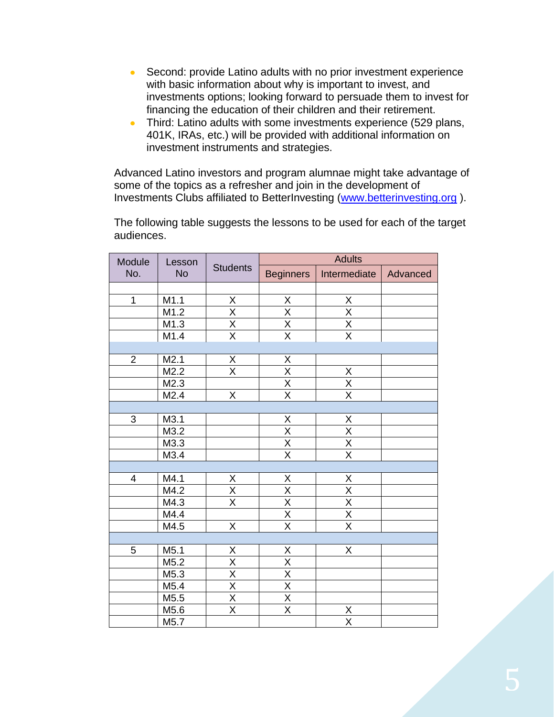- Second: provide Latino adults with no prior investment experience  $\bullet$ with basic information about why is important to invest, and investments options; looking forward to persuade them to invest for financing the education of their children and their retirement.
- Third: Latino adults with some investments experience (529 plans,  $\bullet$  . 401K, IRAs, etc.) will be provided with additional information on investment instruments and strategies.

Advanced Latino investors and program alumnae might take advantage of some of the topics as a refresher and join in the development of Investments Clubs affiliated to BetterInvesting [\(www.betterinvesting.org](http://www.betterinvesting.org/) ).

The following table suggests the lessons to be used for each of the target audiences.

| Module<br>Lesson<br>No.<br><b>No</b> |                   |                                     | <b>Adults</b>                             |                                           |  |  |  |  |
|--------------------------------------|-------------------|-------------------------------------|-------------------------------------------|-------------------------------------------|--|--|--|--|
|                                      | <b>Students</b>   | <b>Beginners</b>                    | Intermediate                              | Advanced                                  |  |  |  |  |
|                                      |                   |                                     |                                           |                                           |  |  |  |  |
| $\mathbf{1}$                         | M1.1              |                                     |                                           | $\overline{X}$                            |  |  |  |  |
|                                      | M1.2              | $\frac{X}{X}$<br>$\frac{X}{X}$      | $\frac{X}{X}$<br>$\frac{X}{X}$            | $\frac{\overline{X}}{\overline{X}}$       |  |  |  |  |
|                                      | M1.3              |                                     |                                           |                                           |  |  |  |  |
|                                      | M1.4              |                                     |                                           |                                           |  |  |  |  |
|                                      |                   |                                     |                                           |                                           |  |  |  |  |
| $\overline{2}$                       | M2.1              | $\overline{X}$                      |                                           |                                           |  |  |  |  |
|                                      | M2.2              | $\overline{\mathsf{x}}$             | $\frac{X}{X}$<br>$\frac{X}{X}$            |                                           |  |  |  |  |
|                                      | $M2.\overline{3}$ |                                     |                                           | $\frac{X}{X}$                             |  |  |  |  |
|                                      | M2.4              | $\overline{X}$                      |                                           |                                           |  |  |  |  |
|                                      |                   |                                     |                                           |                                           |  |  |  |  |
| 3                                    | M3.1              |                                     |                                           | $\overline{\mathsf{X}}$                   |  |  |  |  |
|                                      | M3.2              |                                     | $\frac{X}{X}$ $\frac{X}{X}$               |                                           |  |  |  |  |
|                                      | $M3.\overline{3}$ |                                     |                                           | $\frac{X}{X}$                             |  |  |  |  |
|                                      | M3.4              |                                     |                                           |                                           |  |  |  |  |
|                                      |                   |                                     |                                           |                                           |  |  |  |  |
| $\overline{\mathbf{4}}$              | M4.1              | $\underline{X}$                     | $\underline{X}$                           |                                           |  |  |  |  |
|                                      | M4.2              | X                                   | $\frac{X}{X}$                             | $\frac{X}{X}$ $\frac{X}{X}$ $\frac{X}{X}$ |  |  |  |  |
|                                      | M4.3              | $\overline{\mathsf{x}}$             |                                           |                                           |  |  |  |  |
|                                      | M4.4              |                                     |                                           |                                           |  |  |  |  |
|                                      | M4.5              | X                                   |                                           |                                           |  |  |  |  |
|                                      |                   |                                     |                                           |                                           |  |  |  |  |
| 5                                    | M <sub>5.1</sub>  | $\overline{X}$                      |                                           | X                                         |  |  |  |  |
|                                      | M5.2              |                                     |                                           |                                           |  |  |  |  |
|                                      | $M5.\overline{3}$ |                                     |                                           |                                           |  |  |  |  |
|                                      | M5.4              | $\times$                            | $\frac{X}{X}$ $\frac{X}{X}$ $\frac{X}{X}$ |                                           |  |  |  |  |
|                                      | M5.5              | $\frac{\overline{X}}{\overline{X}}$ |                                           |                                           |  |  |  |  |
|                                      | M5.6              |                                     | $\overline{\mathsf{x}}$                   |                                           |  |  |  |  |
|                                      | M5.7              |                                     |                                           | $\frac{\mathsf{X}}{\mathsf{X}}$           |  |  |  |  |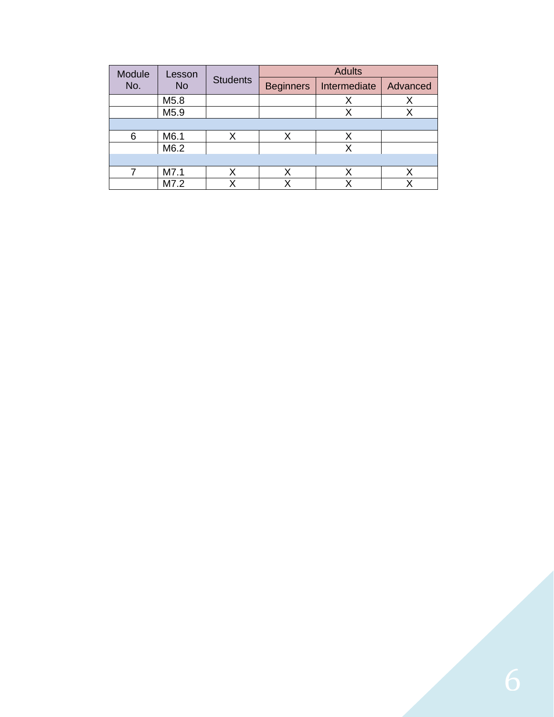| Module           | Lesson |                 |                  | <b>Adults</b> |          |
|------------------|--------|-----------------|------------------|---------------|----------|
| No.<br><b>No</b> |        | <b>Students</b> | <b>Beginners</b> | Intermediate  | Advanced |
|                  | M5.8   |                 |                  | х             |          |
|                  | M5.9   |                 |                  | Х             |          |
|                  |        |                 |                  |               |          |
| 6                | M6.1   | Χ               | Х                | Χ             |          |
|                  | M6.2   |                 |                  | х             |          |
|                  |        |                 |                  |               |          |
|                  | M7.1   | Χ               | Χ                | Х             | x        |
|                  | M7.2   |                 |                  |               |          |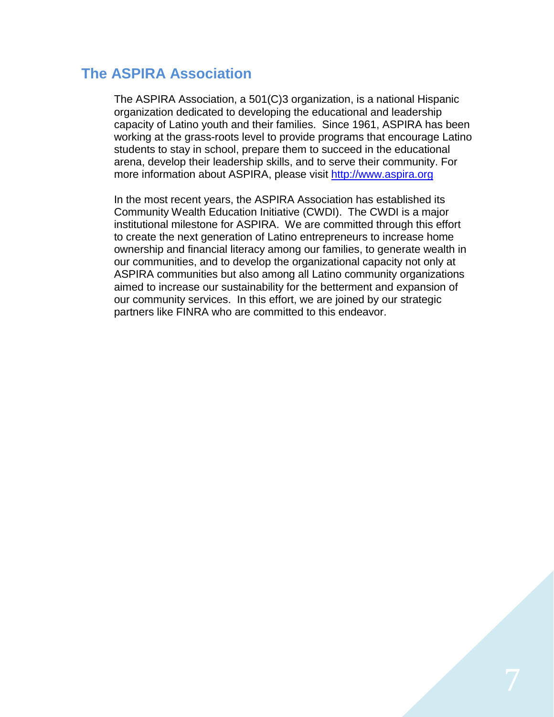#### **The ASPIRA Association**

The ASPIRA Association, a 501(C)3 organization, is a national Hispanic organization dedicated to developing the educational and leadership capacity of Latino youth and their families. Since 1961, ASPIRA has been working at the grass-roots level to provide programs that encourage Latino students to stay in school, prepare them to succeed in the educational arena, develop their leadership skills, and to serve their community. For more information about ASPIRA, please visit [http://www.aspira.org](http://www.aspira.org/)

In the most recent years, the ASPIRA Association has established its Community Wealth Education Initiative (CWDI). The CWDI is a major institutional milestone for ASPIRA. We are committed through this effort to create the next generation of Latino entrepreneurs to increase home ownership and financial literacy among our families, to generate wealth in our communities, and to develop the organizational capacity not only at ASPIRA communities but also among all Latino community organizations aimed to increase our sustainability for the betterment and expansion of our community services. In this effort, we are joined by our strategic partners like FINRA who are committed to this endeavor.